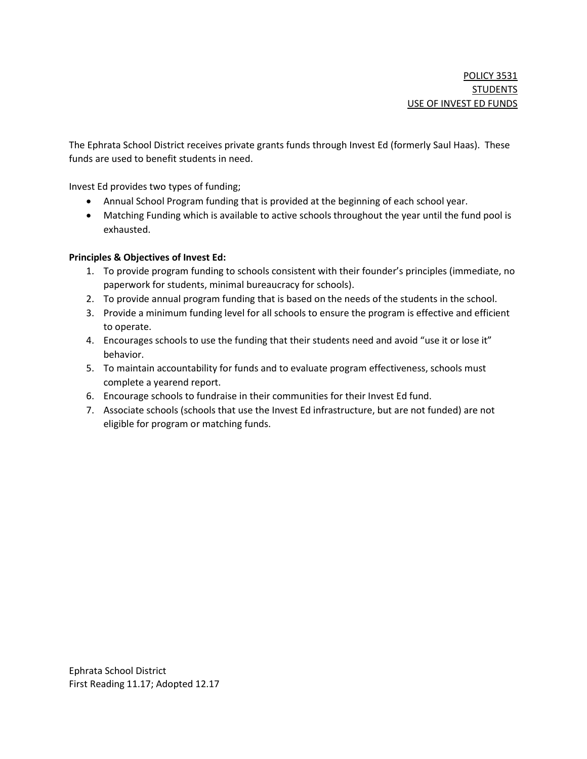The Ephrata School District receives private grants funds through Invest Ed (formerly Saul Haas). These funds are used to benefit students in need.

Invest Ed provides two types of funding;

- Annual School Program funding that is provided at the beginning of each school year.
- Matching Funding which is available to active schools throughout the year until the fund pool is exhausted.

#### Principles & Objectives of Invest Ed:

- 1. To provide program funding to schools consistent with their founder's principles (immediate, no paperwork for students, minimal bureaucracy for schools).
- 2. To provide annual program funding that is based on the needs of the students in the school.
- 3. Provide a minimum funding level for all schools to ensure the program is effective and efficient to operate.
- 4. Encourages schools to use the funding that their students need and avoid "use it or lose it" behavior.
- 5. To maintain accountability for funds and to evaluate program effectiveness, schools must complete a yearend report.
- 6. Encourage schools to fundraise in their communities for their Invest Ed fund.
- 7. Associate schools (schools that use the Invest Ed infrastructure, but are not funded) are not eligible for program or matching funds.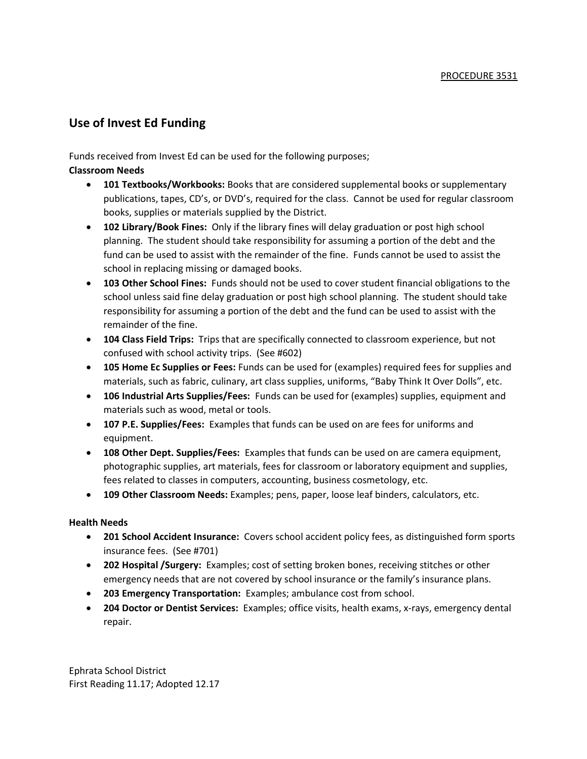# Use of Invest Ed Funding

Funds received from Invest Ed can be used for the following purposes;

#### Classroom Needs

- 101 Textbooks/Workbooks: Books that are considered supplemental books or supplementary publications, tapes, CD's, or DVD's, required for the class. Cannot be used for regular classroom books, supplies or materials supplied by the District.
- 102 Library/Book Fines: Only if the library fines will delay graduation or post high school planning. The student should take responsibility for assuming a portion of the debt and the fund can be used to assist with the remainder of the fine. Funds cannot be used to assist the school in replacing missing or damaged books.
- 103 Other School Fines: Funds should not be used to cover student financial obligations to the school unless said fine delay graduation or post high school planning. The student should take responsibility for assuming a portion of the debt and the fund can be used to assist with the remainder of the fine.
- 104 Class Field Trips: Trips that are specifically connected to classroom experience, but not confused with school activity trips. (See #602)
- 105 Home Ec Supplies or Fees: Funds can be used for (examples) required fees for supplies and materials, such as fabric, culinary, art class supplies, uniforms, "Baby Think It Over Dolls", etc.
- 106 Industrial Arts Supplies/Fees: Funds can be used for (examples) supplies, equipment and materials such as wood, metal or tools.
- 107 P.E. Supplies/Fees: Examples that funds can be used on are fees for uniforms and equipment.
- 108 Other Dept. Supplies/Fees: Examples that funds can be used on are camera equipment, photographic supplies, art materials, fees for classroom or laboratory equipment and supplies, fees related to classes in computers, accounting, business cosmetology, etc.
- 109 Other Classroom Needs: Examples; pens, paper, loose leaf binders, calculators, etc.

#### Health Needs

- 201 School Accident Insurance: Covers school accident policy fees, as distinguished form sports insurance fees. (See #701)
- 202 Hospital /Surgery: Examples; cost of setting broken bones, receiving stitches or other emergency needs that are not covered by school insurance or the family's insurance plans.
- 203 Emergency Transportation: Examples; ambulance cost from school.
- 204 Doctor or Dentist Services: Examples; office visits, health exams, x-rays, emergency dental repair.

Ephrata School District First Reading 11.17; Adopted 12.17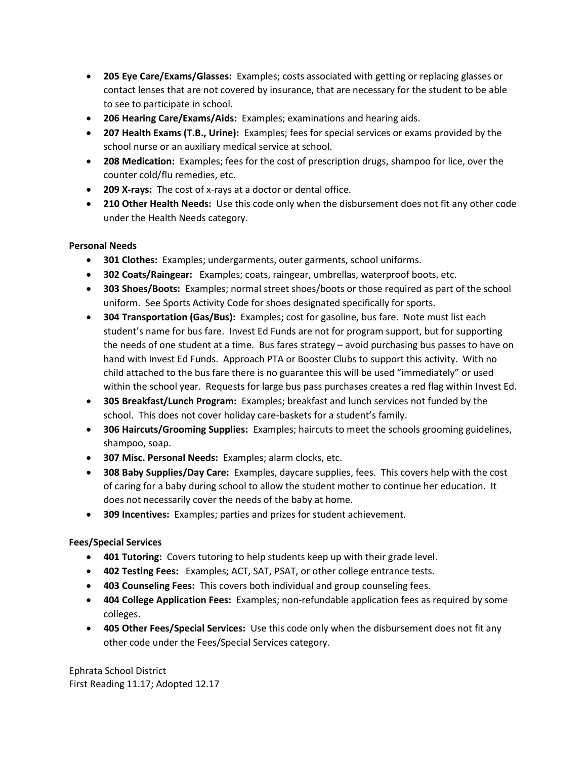- 205 Eye Care/Exams/Glasses: Examples; costs associated with getting or replacing glasses or contact lenses that are not covered by insurance, that are necessary for the student to be able to see to participate in school.
- 206 Hearing Care/Exams/Aids: Examples; examinations and hearing aids.
- 207 Health Exams (T.B., Urine): Examples; fees for special services or exams provided by the school nurse or an auxiliary medical service at school.
- 208 Medication: Examples; fees for the cost of prescription drugs, shampoo for lice, over the counter cold/flu remedies, etc.
- 209 X-rays: The cost of x-rays at a doctor or dental office.
- 210 Other Health Needs: Use this code only when the disbursement does not fit any other code under the Health Needs category.

# Personal Needs

- 301 Clothes: Examples; undergarments, outer garments, school uniforms.
- 302 Coats/Raingear: Examples; coats, raingear, umbrellas, waterproof boots, etc.
- 303 Shoes/Boots: Examples; normal street shoes/boots or those required as part of the school uniform. See Sports Activity Code for shoes designated specifically for sports.
- 304 Transportation (Gas/Bus): Examples; cost for gasoline, bus fare. Note must list each student's name for bus fare. Invest Ed Funds are not for program support, but for supporting the needs of one student at a time. Bus fares strategy – avoid purchasing bus passes to have on hand with Invest Ed Funds. Approach PTA or Booster Clubs to support this activity. With no child attached to the bus fare there is no guarantee this will be used "immediately" or used within the school year. Requests for large bus pass purchases creates a red flag within Invest Ed.
- 305 Breakfast/Lunch Program: Examples; breakfast and lunch services not funded by the school. This does not cover holiday care-baskets for a student's family.
- 306 Haircuts/Grooming Supplies: Examples; haircuts to meet the schools grooming guidelines, shampoo, soap.
- 307 Misc. Personal Needs: Examples; alarm clocks, etc.
- 308 Baby Supplies/Day Care: Examples, daycare supplies, fees. This covers help with the cost of caring for a baby during school to allow the student mother to continue her education. It does not necessarily cover the needs of the baby at home.
- 309 Incentives: Examples; parties and prizes for student achievement.

# Fees/Special Services

- 401 Tutoring: Covers tutoring to help students keep up with their grade level.
- 402 Testing Fees: Examples; ACT, SAT, PSAT, or other college entrance tests.
- 403 Counseling Fees: This covers both individual and group counseling fees.
- 404 College Application Fees: Examples; non-refundable application fees as required by some colleges.
- 405 Other Fees/Special Services: Use this code only when the disbursement does not fit any other code under the Fees/Special Services category.

Ephrata School District First Reading 11.17; Adopted 12.17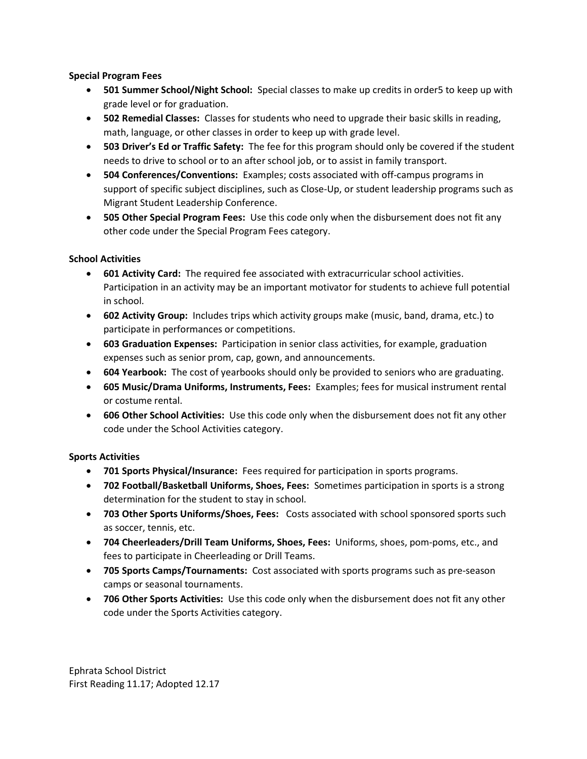#### Special Program Fees

- 501 Summer School/Night School: Special classes to make up credits in order5 to keep up with grade level or for graduation.
- 502 Remedial Classes: Classes for students who need to upgrade their basic skills in reading, math, language, or other classes in order to keep up with grade level.
- 503 Driver's Ed or Traffic Safety: The fee for this program should only be covered if the student needs to drive to school or to an after school job, or to assist in family transport.
- 504 Conferences/Conventions: Examples; costs associated with off-campus programs in support of specific subject disciplines, such as Close-Up, or student leadership programs such as Migrant Student Leadership Conference.
- 505 Other Special Program Fees: Use this code only when the disbursement does not fit any other code under the Special Program Fees category.

# School Activities

- 601 Activity Card: The required fee associated with extracurricular school activities. Participation in an activity may be an important motivator for students to achieve full potential in school.
- 602 Activity Group: Includes trips which activity groups make (music, band, drama, etc.) to participate in performances or competitions.
- 603 Graduation Expenses: Participation in senior class activities, for example, graduation expenses such as senior prom, cap, gown, and announcements.
- 604 Yearbook: The cost of yearbooks should only be provided to seniors who are graduating.
- 605 Music/Drama Uniforms, Instruments, Fees: Examples; fees for musical instrument rental or costume rental.
- 606 Other School Activities: Use this code only when the disbursement does not fit any other code under the School Activities category.

# Sports Activities

- 701 Sports Physical/Insurance: Fees required for participation in sports programs.
- 702 Football/Basketball Uniforms, Shoes, Fees: Sometimes participation in sports is a strong determination for the student to stay in school.
- 703 Other Sports Uniforms/Shoes, Fees: Costs associated with school sponsored sports such as soccer, tennis, etc.
- 704 Cheerleaders/Drill Team Uniforms, Shoes, Fees: Uniforms, shoes, pom-poms, etc., and fees to participate in Cheerleading or Drill Teams.
- 705 Sports Camps/Tournaments: Cost associated with sports programs such as pre-season camps or seasonal tournaments.
- 706 Other Sports Activities: Use this code only when the disbursement does not fit any other code under the Sports Activities category.

Ephrata School District First Reading 11.17; Adopted 12.17